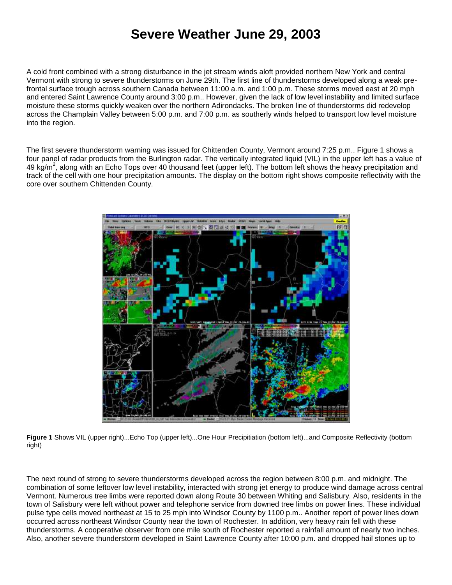## **Severe Weather June 29, 2003**

A cold front combined with a strong disturbance in the jet stream winds aloft provided northern New York and central Vermont with strong to severe thunderstorms on June 29th. The first line of thunderstorms developed along a weak prefrontal surface trough across southern Canada between 11:00 a.m. and 1:00 p.m. These storms moved east at 20 mph and entered Saint Lawrence County around 3:00 p.m.. However, given the lack of low level instability and limited surface moisture these storms quickly weaken over the northern Adirondacks. The broken line of thunderstorms did redevelop across the Champlain Valley between 5:00 p.m. and 7:00 p.m. as southerly winds helped to transport low level moisture into the region.

The first severe thunderstorm warning was issued for Chittenden County, Vermont around 7:25 p.m.. Figure 1 shows a four panel of radar products from the Burlington radar. The vertically integrated liquid (VIL) in the upper left has a value of 49 kg/m<sup>2</sup>, along with an Echo Tops over 40 thousand feet (upper left). The bottom left shows the heavy precipitation and track of the cell with one hour precipitation amounts. The display on the bottom right shows composite reflectivity with the core over southern Chittenden County.



**Figure 1** Shows VIL (upper right)...Echo Top (upper left)...One Hour Precipitiation (bottom left)...and Composite Reflectivity (bottom right)

The next round of strong to severe thunderstorms developed across the region between 8:00 p.m. and midnight. The combination of some leftover low level instability, interacted with strong jet energy to produce wind damage across central Vermont. Numerous tree limbs were reported down along Route 30 between Whiting and Salisbury. Also, residents in the town of Salisbury were left without power and telephone service from downed tree limbs on power lines. These individual pulse type cells moved northeast at 15 to 25 mph into Windsor County by 1100 p.m.. Another report of power lines down occurred across northeast Windsor County near the town of Rochester. In addition, very heavy rain fell with these thunderstorms. A cooperative observer from one mile south of Rochester reported a rainfall amount of nearly two inches. Also, another severe thunderstorm developed in Saint Lawrence County after 10:00 p.m. and dropped hail stones up to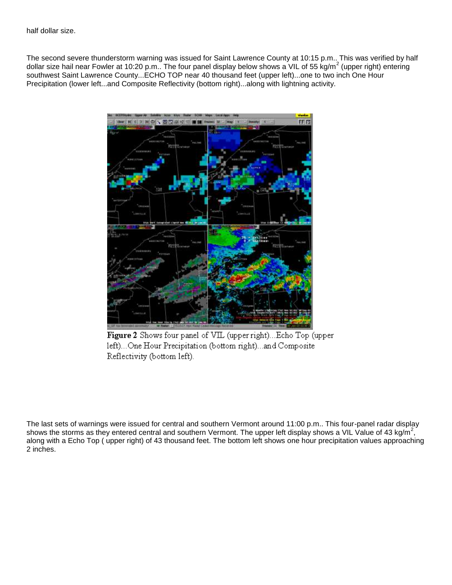The second severe thunderstorm warning was issued for Saint Lawrence County at 10:15 p.m.. This was verified by half dollar size hail near Fowler at 10:20 p.m.. The four panel display below shows a VIL of 55 kg/m<sup>2</sup> (upper right) entering southwest Saint Lawrence County...ECHO TOP near 40 thousand feet (upper left)...one to two inch One Hour Precipitation (lower left...and Composite Reflectivity (bottom right)...along with lightning activity.



Figure 2 Shows four panel of VIL (upper right)... Echo Top (upper left)...One Hour Precipitation (bottom right)...and Composite Reflectivity (bottom left).

The last sets of warnings were issued for central and southern Vermont around 11:00 p.m.. This four-panel radar display shows the storms as they entered central and southern Vermont. The upper left display shows a VIL Value of 43 kg/m<sup>2</sup>, along with a Echo Top ( upper right) of 43 thousand feet. The bottom left shows one hour precipitation values approaching 2 inches.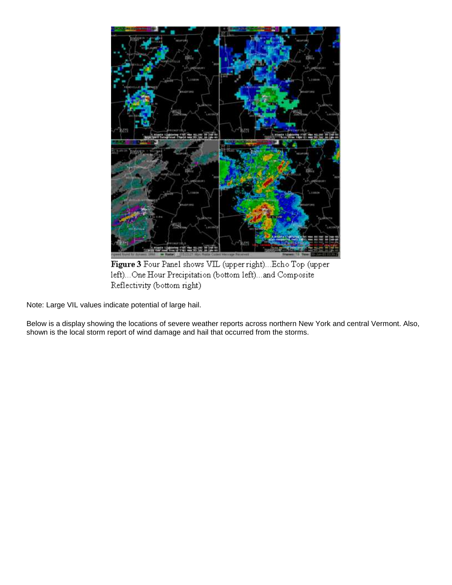

Figure 3 Four Panel shows VIL (upper right)... Echo Top (upper left)...One Hour Precipitation (bottom left)...and Composite Reflectivity (bottom right)

Note: Large VIL values indicate potential of large hail.

Below is a display showing the locations of severe weather reports across northern New York and central Vermont. Also, shown is the local storm report of wind damage and hail that occurred from the storms.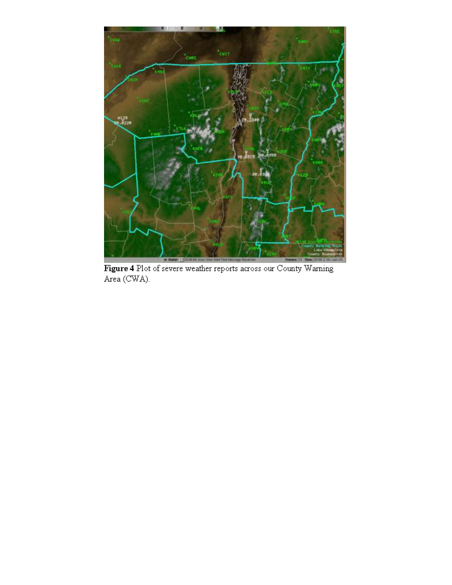

Figure 4 Plot of severe weather reports across our County Warning Area (CWA).